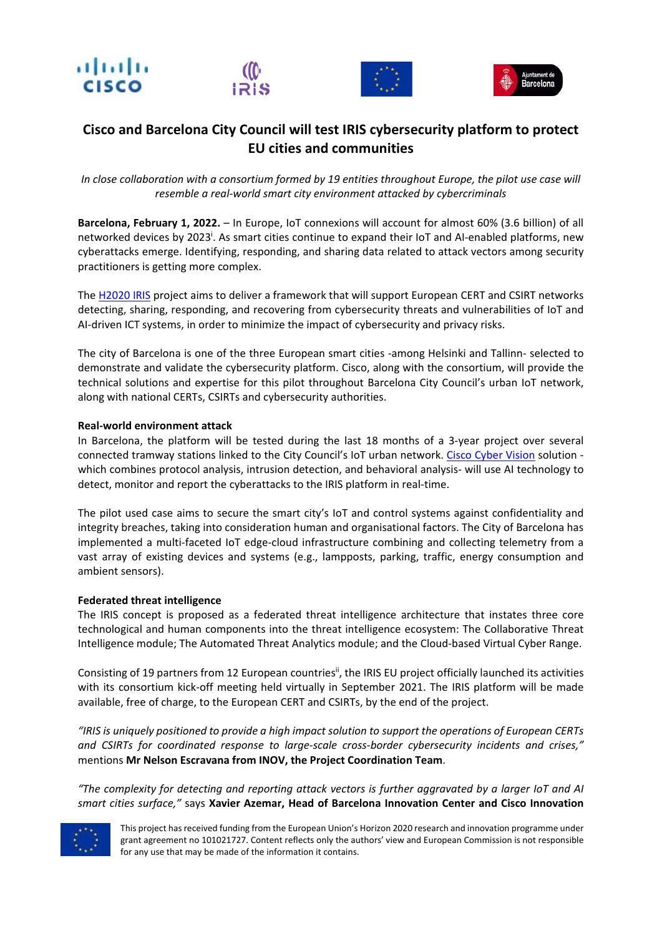





## **Cisco and Barcelona City Council will test IRIS cybersecurity platform to protect EU cities and communities**

*In close collaboration with a consortium formed by 19 entities throughout Europe, the pilot use case will resemble a real‐world smart city environment attacked by cybercriminals* 

**Barcelona, February 1, 2022.** – In Europe, IoT connexions will account for almost 60% (3.6 billion) of all networked devices by 2023<sup>i</sup>. As smart cities continue to expand their IoT and AI-enabled platforms, new cyberattacks emerge. Identifying, responding, and sharing data related to attack vectors among security practitioners is getting more complex.

The H2020 IRIS project aims to deliver a framework that will support European CERT and CSIRT networks detecting, sharing, responding, and recovering from cybersecurity threats and vulnerabilities of IoT and AI-driven ICT systems, in order to minimize the impact of cybersecurity and privacy risks.

The city of Barcelona is one of the three European smart cities ‐among Helsinki and Tallinn‐ selected to demonstrate and validate the cybersecurity platform. Cisco, along with the consortium, will provide the technical solutions and expertise for this pilot throughout Barcelona City Council's urban IoT network, along with national CERTs, CSIRTs and cybersecurity authorities.

## **Real‐world environment attack**

In Barcelona, the platform will be tested during the last 18 months of a 3-year project over several connected tramway stations linked to the City Council's IoT urban network. Cisco Cyber Vision solution which combines protocol analysis, intrusion detection, and behavioral analysis- will use AI technology to detect, monitor and report the cyberattacks to the IRIS platform in real-time.

The pilot used case aims to secure the smart city's IoT and control systems against confidentiality and integrity breaches, taking into consideration human and organisational factors. The City of Barcelona has implemented a multi‐faceted IoT edge‐cloud infrastructure combining and collecting telemetry from a vast array of existing devices and systems (e.g., lampposts, parking, traffic, energy consumption and ambient sensors).

## **Federated threat intelligence**

The IRIS concept is proposed as a federated threat intelligence architecture that instates three core technological and human components into the threat intelligence ecosystem: The Collaborative Threat Intelligence module; The Automated Threat Analytics module; and the Cloud‐based Virtual Cyber Range.

Consisting of 19 partners from 12 European countries<sup>ii</sup>, the IRIS EU project officially launched its activities with its consortium kick-off meeting held virtually in September 2021. The IRIS platform will be made available, free of charge, to the European CERT and CSIRTs, by the end of the project.

*"IRIS is uniquely positioned to provide a high impact solution to support the operations of European CERTs and CSIRTs for coordinated response to large‐scale cross‐border cybersecurity incidents and crises,"* mentions **Mr Nelson Escravana from INOV, the Project Coordination Team**.

*"The complexity for detecting and reporting attack vectors is further aggravated by a larger IoT and AI smart cities surface,"* says **Xavier Azemar, Head of Barcelona Innovation Center and Cisco Innovation** 



This project has received funding from the European Union's Horizon 2020 research and innovation programme under grant agreement no 101021727. Content reflects only the authors' view and European Commission is not responsible for any use that may be made of the information it contains.